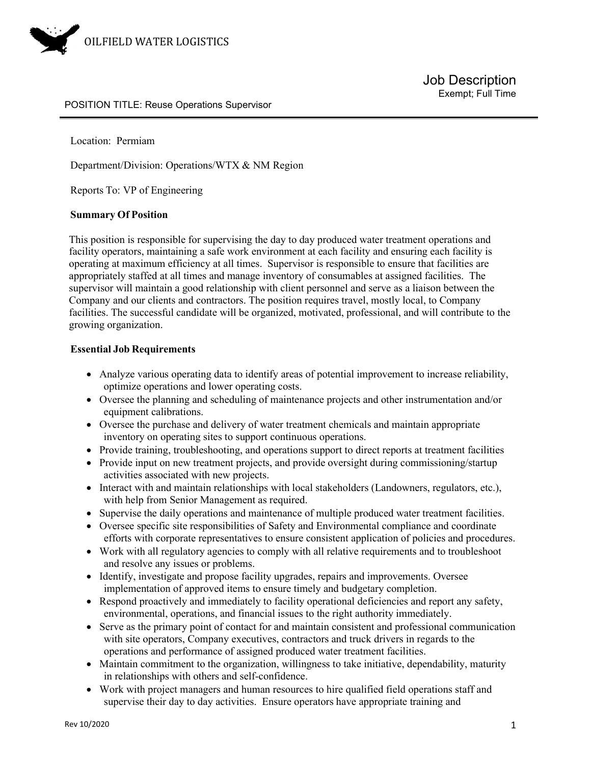

#### POSITION TITLE: Reuse Operations Supervisor

Location: Permiam

Department/Division: Operations/WTX & NM Region

Reports To: VP of Engineering

#### **Summary Of Position**

This position is responsible for supervising the day to day produced water treatment operations and facility operators, maintaining a safe work environment at each facility and ensuring each facility is operating at maximum efficiency at all times. Supervisor is responsible to ensure that facilities are appropriately staffed at all times and manage inventory of consumables at assigned facilities. The supervisor will maintain a good relationship with client personnel and serve as a liaison between the Company and our clients and contractors. The position requires travel, mostly local, to Company facilities. The successful candidate will be organized, motivated, professional, and will contribute to the growing organization.

#### **Essential Job Requirements**

- Analyze various operating data to identify areas of potential improvement to increase reliability, optimize operations and lower operating costs.
- Oversee the planning and scheduling of maintenance projects and other instrumentation and/or equipment calibrations.
- Oversee the purchase and delivery of water treatment chemicals and maintain appropriate inventory on operating sites to support continuous operations.
- Provide training, troubleshooting, and operations support to direct reports at treatment facilities
- Provide input on new treatment projects, and provide oversight during commissioning/startup activities associated with new projects.
- Interact with and maintain relationships with local stakeholders (Landowners, regulators, etc.), with help from Senior Management as required.
- Supervise the daily operations and maintenance of multiple produced water treatment facilities.
- Oversee specific site responsibilities of Safety and Environmental compliance and coordinate efforts with corporate representatives to ensure consistent application of policies and procedures.
- Work with all regulatory agencies to comply with all relative requirements and to troubleshoot and resolve any issues or problems.
- Identify, investigate and propose facility upgrades, repairs and improvements. Oversee implementation of approved items to ensure timely and budgetary completion.
- Respond proactively and immediately to facility operational deficiencies and report any safety, environmental, operations, and financial issues to the right authority immediately.
- Serve as the primary point of contact for and maintain consistent and professional communication with site operators, Company executives, contractors and truck drivers in regards to the operations and performance of assigned produced water treatment facilities.
- Maintain commitment to the organization, willingness to take initiative, dependability, maturity in relationships with others and self-confidence.
- Work with project managers and human resources to hire qualified field operations staff and supervise their day to day activities. Ensure operators have appropriate training and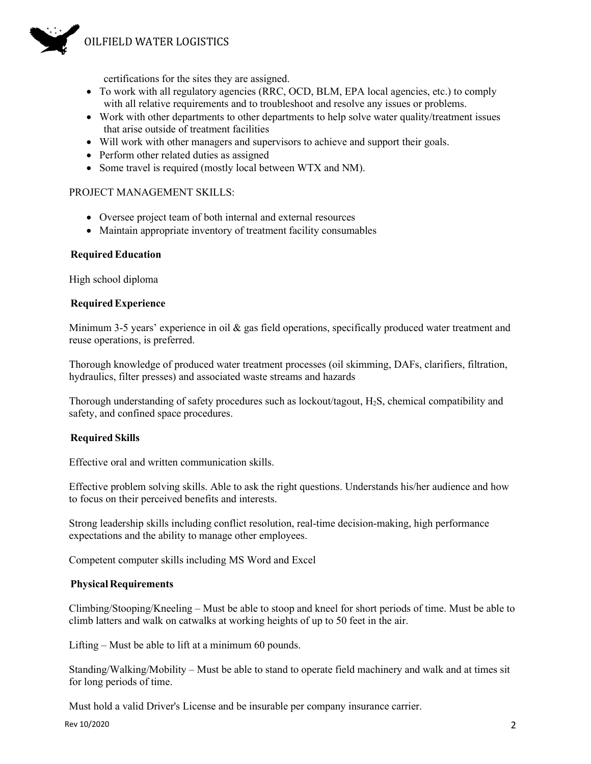

certifications for the sites they are assigned.

- To work with all regulatory agencies (RRC, OCD, BLM, EPA local agencies, etc.) to comply with all relative requirements and to troubleshoot and resolve any issues or problems.
- Work with other departments to other departments to help solve water quality/treatment issues that arise outside of treatment facilities
- Will work with other managers and supervisors to achieve and support their goals.
- Perform other related duties as assigned
- Some travel is required (mostly local between WTX and NM).

## PROJECT MANAGEMENT SKILLS:

- Oversee project team of both internal and external resources
- Maintain appropriate inventory of treatment facility consumables

## **RequiredEducation**

High school diploma

## **RequiredExperience**

Minimum 3-5 years' experience in oil  $\&$  gas field operations, specifically produced water treatment and reuse operations, is preferred.

Thorough knowledge of produced water treatment processes (oil skimming, DAFs, clarifiers, filtration, hydraulics, filter presses) and associated waste streams and hazards

Thorough understanding of safety procedures such as lockout/tagout, H2S, chemical compatibility and safety, and confined space procedures.

## **Required Skills**

Effective oral and written communication skills.

Effective problem solving skills. Able to ask the right questions. Understands his/her audience and how to focus on their perceived benefits and interests.

Strong leadership skills including conflict resolution, real-time decision-making, high performance expectations and the ability to manage other employees.

Competent computer skills including MS Word and Excel

## **Physical Requirements**

Climbing/Stooping/Kneeling – Must be able to stoop and kneel for short periods of time. Must be able to climb latters and walk on catwalks at working heights of up to 50 feet in the air.

Lifting – Must be able to lift at a minimum 60 pounds.

Standing/Walking/Mobility – Must be able to stand to operate field machinery and walk and at times sit for long periods of time.

Must hold a valid Driver's License and be insurable per company insurance carrier.